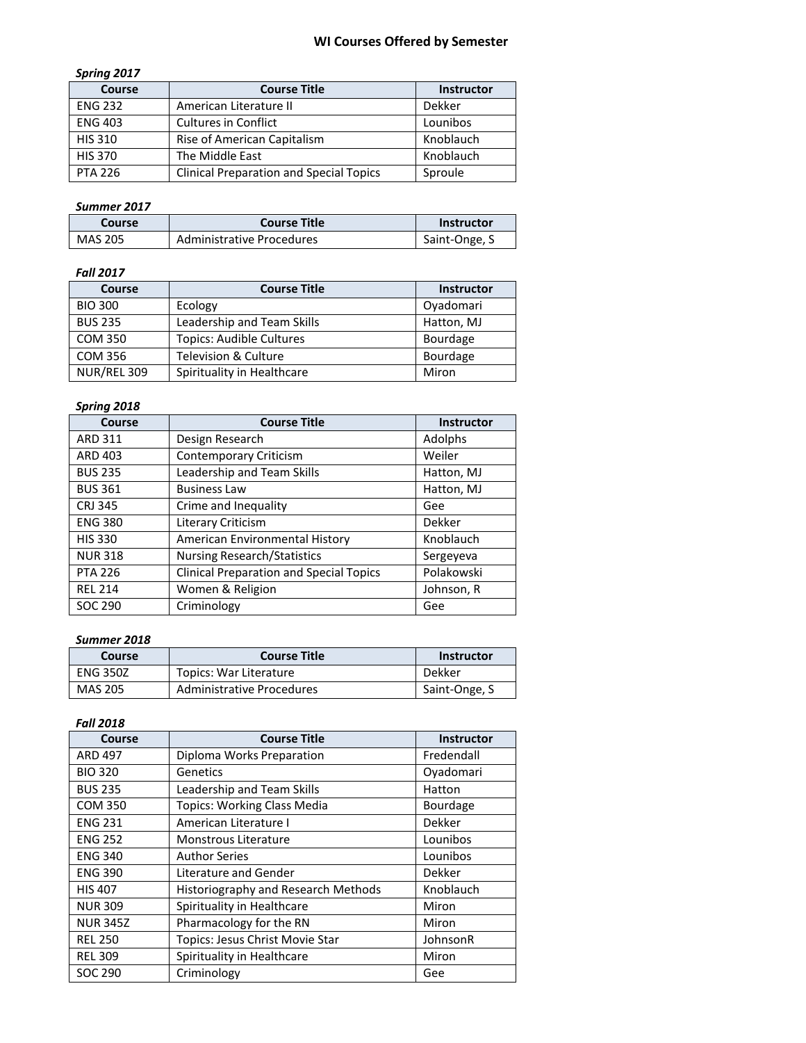# **WI Courses Offered by Semester**

### *Spring 2017*

| <b>Course</b>  | <b>Course Title</b>                            | <b>Instructor</b> |
|----------------|------------------------------------------------|-------------------|
| <b>ENG 232</b> | American Literature II                         | Dekker            |
| <b>ENG 403</b> | <b>Cultures in Conflict</b>                    | Lounibos          |
| <b>HIS 310</b> | Rise of American Capitalism                    | Knoblauch         |
| <b>HIS 370</b> | The Middle East                                | Knoblauch         |
| <b>PTA 226</b> | <b>Clinical Preparation and Special Topics</b> | Sproule           |

### *Summer 2017*

| Course         | <b>Course Title</b>              | Instructor    |
|----------------|----------------------------------|---------------|
| <b>MAS 205</b> | <b>Administrative Procedures</b> | Saint-Onge, S |

### *Fall 2017*

| Course         | <b>Course Title</b>             | <b>Instructor</b> |
|----------------|---------------------------------|-------------------|
| <b>BIO 300</b> | Ecology                         | Ovadomari         |
| <b>BUS 235</b> | Leadership and Team Skills      | Hatton, MJ        |
| <b>COM 350</b> | <b>Topics: Audible Cultures</b> | Bourdage          |
| <b>COM 356</b> | Television & Culture            | Bourdage          |
| NUR/REL 309    | Spirituality in Healthcare      | Miron             |

### *Spring 2018*

| Course         | <b>Course Title</b>                            | <b>Instructor</b> |
|----------------|------------------------------------------------|-------------------|
| <b>ARD 311</b> | Design Research                                | Adolphs           |
| ARD 403        | <b>Contemporary Criticism</b>                  | Weiler            |
| <b>BUS 235</b> | Leadership and Team Skills                     | Hatton, MJ        |
| <b>BUS 361</b> | <b>Business Law</b>                            | Hatton, MJ        |
| <b>CRJ 345</b> | Crime and Inequality                           | Gee               |
| <b>ENG 380</b> | Literary Criticism                             | Dekker            |
| <b>HIS 330</b> | American Environmental History                 | Knoblauch         |
| <b>NUR318</b>  | <b>Nursing Research/Statistics</b>             | Sergeyeva         |
| <b>PTA 226</b> | <b>Clinical Preparation and Special Topics</b> | Polakowski        |
| <b>REL 214</b> | Women & Religion                               | Johnson, R        |
| SOC 290        | Criminology                                    | Gee               |

#### *Summer 2018*

| Course          | <b>Course Title</b>              | <b>Instructor</b> |
|-----------------|----------------------------------|-------------------|
| <b>ENG 350Z</b> | Topics: War Literature           | Dekker            |
| MAS 205         | <b>Administrative Procedures</b> | Saint-Onge, S     |

### *Fall 2018*

| Course          | <b>Course Title</b>                 | <b>Instructor</b> |
|-----------------|-------------------------------------|-------------------|
| <b>ARD 497</b>  | Diploma Works Preparation           | Fredendall        |
| <b>BIO 320</b>  | Genetics                            | Oyadomari         |
| <b>BUS 235</b>  | Leadership and Team Skills          | Hatton            |
| <b>COM 350</b>  | <b>Topics: Working Class Media</b>  | <b>Bourdage</b>   |
| <b>ENG 231</b>  | American Literature I               | Dekker            |
| <b>ENG 252</b>  | <b>Monstrous Literature</b>         | Lounibos          |
| <b>ENG 340</b>  | <b>Author Series</b>                | Lounibos          |
| <b>ENG 390</b>  | Literature and Gender               | Dekker            |
| <b>HIS 407</b>  | Historiography and Research Methods | Knoblauch         |
| <b>NUR 309</b>  | Spirituality in Healthcare          | Miron             |
| <b>NUR 345Z</b> | Pharmacology for the RN             | Miron             |
| <b>REL 250</b>  | Topics: Jesus Christ Movie Star     | JohnsonR          |
| <b>REL 309</b>  | Spirituality in Healthcare          | Miron             |
| SOC 290         | Criminology                         | Gee               |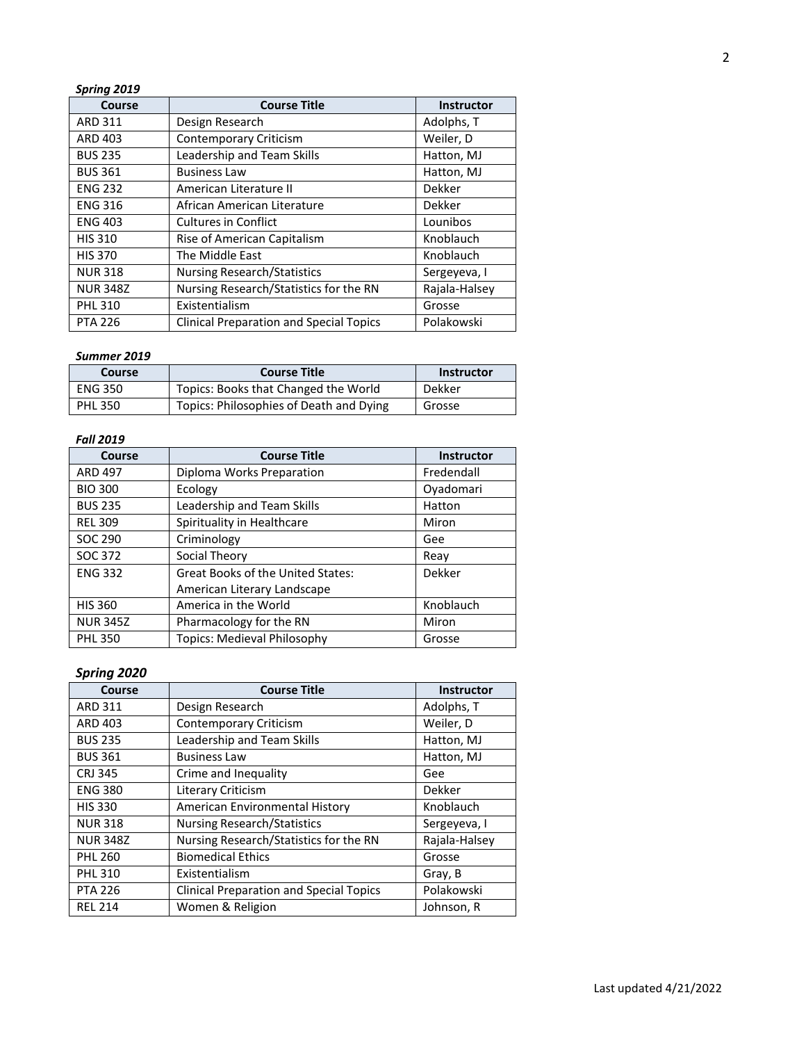| Spring 2019     |                                                |                   |
|-----------------|------------------------------------------------|-------------------|
| Course          | <b>Course Title</b>                            | <b>Instructor</b> |
| <b>ARD 311</b>  | Design Research                                | Adolphs, T        |
| ARD 403         | <b>Contemporary Criticism</b>                  | Weiler, D         |
| <b>BUS 235</b>  | Leadership and Team Skills                     | Hatton, MJ        |
| <b>BUS 361</b>  | <b>Business Law</b>                            | Hatton, MJ        |
| <b>ENG 232</b>  | American Literature II                         | Dekker            |
| <b>ENG 316</b>  | African American Literature                    | Dekker            |
| <b>ENG 403</b>  | <b>Cultures in Conflict</b>                    | Lounibos          |
| <b>HIS 310</b>  | Rise of American Capitalism                    | Knoblauch         |
| <b>HIS 370</b>  | The Middle East                                | Knoblauch         |
| <b>NUR318</b>   | <b>Nursing Research/Statistics</b>             | Sergeyeva, I      |
| <b>NUR 348Z</b> | Nursing Research/Statistics for the RN         | Rajala-Halsey     |
| <b>PHL 310</b>  | Existentialism                                 | Grosse            |
| <b>PTA 226</b>  | <b>Clinical Preparation and Special Topics</b> | Polakowski        |

# *Summer 2019*

| <b>Course</b>  | <b>Course Title</b>                     | <b>Instructor</b> |
|----------------|-----------------------------------------|-------------------|
| <b>ENG 350</b> | Topics: Books that Changed the World    | Dekker            |
| <b>PHL 350</b> | Topics: Philosophies of Death and Dying | Grosse            |

### *Fall 2019*

| Course          | <b>Course Title</b>                      | <b>Instructor</b> |
|-----------------|------------------------------------------|-------------------|
| <b>ARD 497</b>  | Diploma Works Preparation                | Fredendall        |
| <b>BIO 300</b>  | Ecology                                  | Oyadomari         |
| <b>BUS 235</b>  | Leadership and Team Skills               | Hatton            |
| <b>REL 309</b>  | Spirituality in Healthcare               | Miron             |
| SOC 290         | Criminology                              | Gee               |
| SOC 372         | Social Theory                            | Reav              |
| <b>ENG 332</b>  | <b>Great Books of the United States:</b> | Dekker            |
|                 | American Literary Landscape              |                   |
| <b>HIS 360</b>  | America in the World                     | Knoblauch         |
| <b>NUR 345Z</b> | Pharmacology for the RN                  | Miron             |
| <b>PHL 350</b>  | <b>Topics: Medieval Philosophy</b>       | Grosse            |

# *Spring 2020*

| Course          | <b>Course Title</b>                            | <b>Instructor</b> |
|-----------------|------------------------------------------------|-------------------|
| <b>ARD 311</b>  | Design Research                                | Adolphs, T        |
| ARD 403         | <b>Contemporary Criticism</b>                  | Weiler, D         |
| <b>BUS 235</b>  | Leadership and Team Skills                     | Hatton, MJ        |
| <b>BUS 361</b>  | <b>Business Law</b>                            | Hatton, MJ        |
| <b>CRJ 345</b>  | Crime and Inequality                           | Gee               |
| <b>ENG 380</b>  | Literary Criticism                             | Dekker            |
| <b>HIS 330</b>  | American Environmental History                 | Knoblauch         |
| <b>NUR318</b>   | <b>Nursing Research/Statistics</b>             | Sergeyeva, I      |
| <b>NUR 348Z</b> | Nursing Research/Statistics for the RN         | Rajala-Halsey     |
| <b>PHL 260</b>  | <b>Biomedical Ethics</b>                       | Grosse            |
| <b>PHL 310</b>  | Existentialism                                 | Gray, B           |
| <b>PTA 226</b>  | <b>Clinical Preparation and Special Topics</b> | Polakowski        |
| <b>REL 214</b>  | Women & Religion                               | Johnson, R        |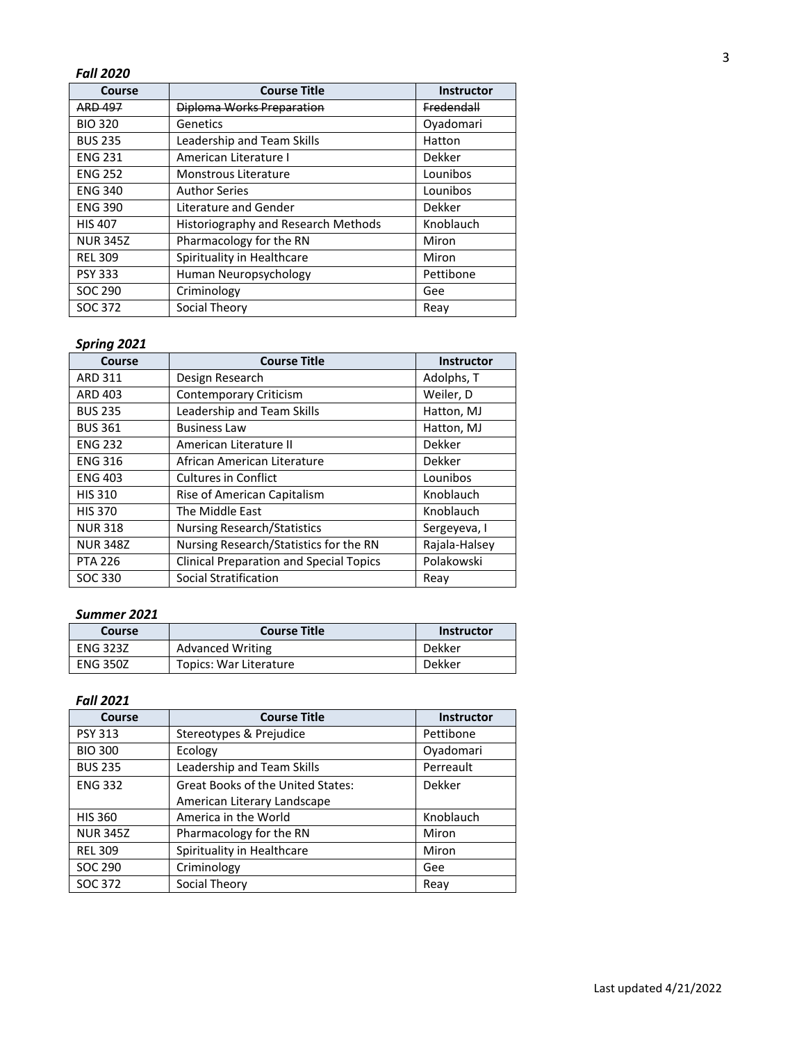# *Fall 2020*

| Course          | <b>Course Title</b>                 | <b>Instructor</b> |
|-----------------|-------------------------------------|-------------------|
| <b>ARD 497</b>  | Diploma Works Preparation           | Fredendall        |
| <b>BIO 320</b>  | Genetics                            | Oyadomari         |
| <b>BUS 235</b>  | Leadership and Team Skills          | Hatton            |
| <b>ENG 231</b>  | American Literature I               | Dekker            |
| <b>ENG 252</b>  | Monstrous Literature                | Lounibos          |
| <b>ENG 340</b>  | <b>Author Series</b>                | Lounibos          |
| <b>ENG 390</b>  | Literature and Gender               | Dekker            |
| <b>HIS 407</b>  | Historiography and Research Methods | Knoblauch         |
| <b>NUR 345Z</b> | Pharmacology for the RN             | Miron             |
| <b>REL 309</b>  | Spirituality in Healthcare          | Miron             |
| <b>PSY 333</b>  | Human Neuropsychology               | Pettibone         |
| SOC 290         | Criminology                         | Gee               |
| SOC 372         | Social Theory                       | Reav              |

# *Spring 2021*

| Course          | <b>Course Title</b>                            | Instructor    |
|-----------------|------------------------------------------------|---------------|
| ARD 311         | Design Research                                | Adolphs, T    |
| <b>ARD 403</b>  | <b>Contemporary Criticism</b>                  | Weiler, D     |
| <b>BUS 235</b>  | Leadership and Team Skills                     | Hatton, MJ    |
| <b>BUS 361</b>  | <b>Business Law</b>                            | Hatton, MJ    |
| <b>ENG 232</b>  | American Literature II                         | <b>Dekker</b> |
| <b>ENG 316</b>  | African American Literature                    | <b>Dekker</b> |
| <b>ENG 403</b>  | <b>Cultures in Conflict</b>                    | Lounibos      |
| <b>HIS 310</b>  | Rise of American Capitalism                    | Knoblauch     |
| <b>HIS 370</b>  | The Middle East                                | Knoblauch     |
| <b>NUR318</b>   | <b>Nursing Research/Statistics</b>             | Sergeyeva, I  |
| <b>NUR 348Z</b> | Nursing Research/Statistics for the RN         | Rajala-Halsey |
| <b>PTA 226</b>  | <b>Clinical Preparation and Special Topics</b> | Polakowski    |
| SOC 330         | <b>Social Stratification</b>                   | Reav          |

### *Summer 2021*

| Course          | <b>Course Title</b>     | <b>Instructor</b> |
|-----------------|-------------------------|-------------------|
| <b>ENG 323Z</b> | <b>Advanced Writing</b> | Dekker            |
| <b>ENG 350Z</b> | Topics: War Literature  | <b>Dekker</b>     |

### *Fall 2021*

| Course          | <b>Course Title</b>                      | <b>Instructor</b> |
|-----------------|------------------------------------------|-------------------|
| <b>PSY 313</b>  | Stereotypes & Prejudice                  | Pettibone         |
| <b>BIO 300</b>  | Ecology                                  | Oyadomari         |
| <b>BUS 235</b>  | Leadership and Team Skills               | Perreault         |
| <b>ENG 332</b>  | <b>Great Books of the United States:</b> | Dekker            |
|                 | American Literary Landscape              |                   |
| <b>HIS 360</b>  | America in the World                     | Knoblauch         |
| <b>NUR 345Z</b> | Pharmacology for the RN                  | Miron             |
| <b>REL 309</b>  | Spirituality in Healthcare               | Miron             |
| SOC 290         | Criminology                              | Gee               |
| SOC 372         | Social Theory                            | Reav              |